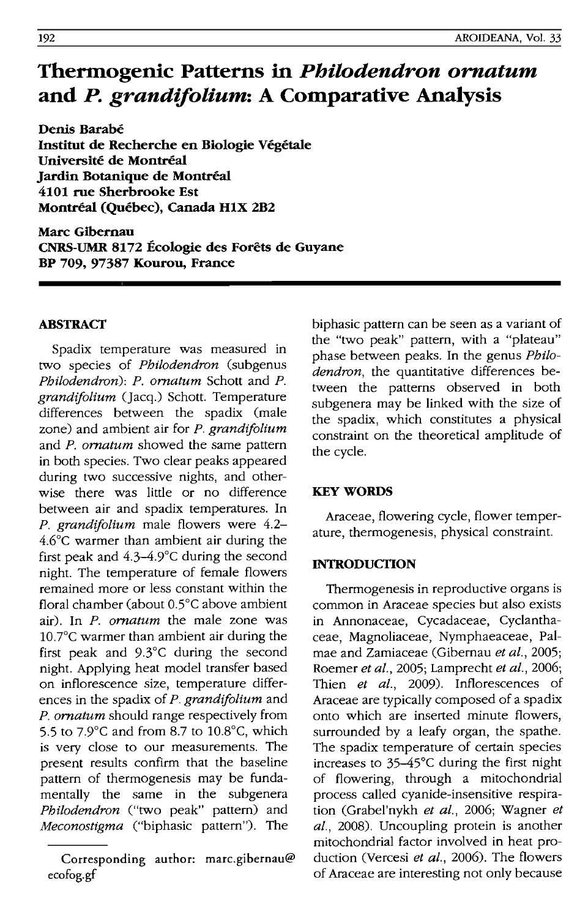# **Thermogenic Patterns in** *Philodendron ornatum*  **and** *P. grandifolium:* **A Comparative Analysis**

**Denis Barabe Institut de Recherche en Biologie Vegetale Universite de Montreal Jardin Botanique de Montreal 4101 rue Sherbrooke Est Montreal (Quebec), Canada HIX 2B2** 

**Marc Gibemau CNRS-UMR 8172 Ecologie des Forets de Guyane BP 709, 97387 Kourou, France** 

## **ABSTRACT**

Spadix temperature was measured in two species of *Philodendron* (subgenus *Philodendron): P. ornatum* Schott and *P. grandifolium* (Jacq.) Schott. Temperature differences between the spadix (male zone) and ambient air for *P. grandifolium*  and *P. ornatum* showed the same pattern in both species. Two clear peaks appeared during two successive nights, and otherwise there was little or no difference between air and spadix temperatures. **In**  *P. grandifolium* male flowers were 4.2- 4.6°c warmer than ambient air during the first peak and 4.3-4.9°C during the second night. The temperature of female flowers remained more or less constant within the floral chamber (about 0.5°C above ambient air). **In** *P. ornatum* the male zone was 1O.7°C warmer than ambient air during the first peak and 9.3°C during the second night. Applying heat model transfer based on inflorescence size, temperature differences in the spadix of *P. grandifolium* and *p. ornatum* should range respectively from 5.5 to 7.9°C and from 8.7 to 1O.8°C, which is very close to our measurements. The present results confirm that the baseline pattern of thermogenesis may be fundamentally the same in the subgenera *Philodendron* ("two peak" pattern) and *Meconostigma* ("biphasic pattern"). The

biphasic pattern can be seen as a variant of the "two peak" pattern, with a "plateau" phase between peaks. **In** the genus *Philodendron,* the quantitative differences between the patterns observed in both subgenera may be linked with the size of the spadix, which constitutes a physical constraint on the theoretical amplitude of the cycle.

## **KEY WORDS**

Araceae, flowering cycle, flower temperature, thermogenesis, physical constraint.

## **INTRODUCTION**

Thermogenesis in reproductive organs is common in Araceae species but also exists in Annonaceae, Cycadaceae, Cyclanthaceae, Magnoliaceae, Nymphaeaceae, Palmae and Zamiaceae CGibernau *et al., 2005;*  Roemer *et ai.,* 2005; Lamprecht *et at., 2006;*  Thien *et al.,* 2009). Inflorescences of Araceae are typically composed of a spadix onto which are inserted minute flowers, surrounded by a leafy organ, the spathe. The spadix temperature of certain species increases to 35-45°C during the first night of flowering, through a mitochondrial process called cyanide-insensitive respiration (Grabel'nykh *et ai.,* 2006; Wagner *et al.,* 2008). Uncoupling protein is another mitochondrial factor involved in heat production (Vercesi *et aI.,* 2006). The flowers of Araceae are interesting not only because

Corresponding author: marc.gibernau@ ecofog.gf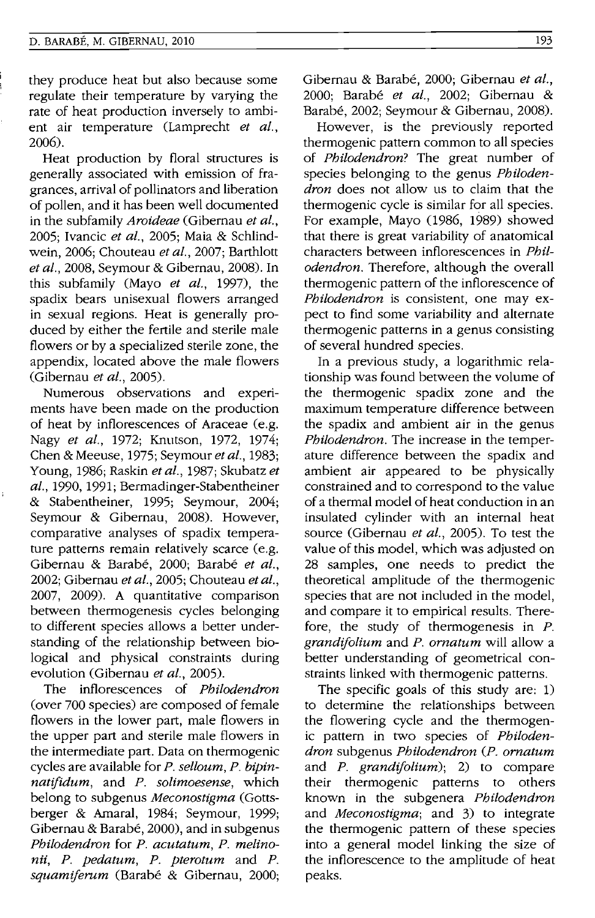#### D. BARABE, M. GIBERNAU, 2010

they produce heat but also because some regulate their temperature by varying the rate of heat production inversely to ambient air temperature (Lamprecht *et al.,*  2006).

Heat production by floral structures is generally associated with emission of fragrances, arrival of pollinators and liberation of pollen, and it has been well documented in the subfamily *Aroideae* (Gibernau *et al.,*  2005; Ivancic *et al.,* 2005; Maia & Schlindwein, 2006; Chouteau *et al.,* 2007; Barthlott *et al.,* 2008, Seymour & Gibernau, 2008). In this subfamily (Mayo *et al.,* 1997), the spadix bears unisexual flowers arranged in sexual regions. Heat is generally produced by either the fertile and sterile male flowers or by a specialized sterile zone, the appendix, located above the male flowers (Gibernau *et al., 2005).* 

Numerous observations and experiments have been made on the production of heat by inflorescences of Araceae (e.g. Nagy *et al.,* 1972; Knutson, 1972, 1974; Chen & Meeuse, 1975; Seymour *et al., 1983;*  Young, 1986; Raskin *et aI.,* 1987; Skubatz *et al.,* 1990, 1991; Bermadinger-Stabentheiner & Stabentheiner, 1995; Seymour, 2004; Seymour & Gibernau, 2008). However, comparative analyses of spadix temperature patterns remain relatively scarce (e.g. Gibernau & Barabe, 2000; Barabe *et al.,*  2002; Gibernau *et al.,* 2005; Chouteau *et aI.,*  2007, 2009). A quantitative comparison between thermogenesis cycles belonging to different species allows a better understanding of the relationship between biological and physical constraints during evolution (Gibernau *et al., 2005).* 

The inflorescences of *Philodendron*  (over 700 species) are composed of female flowers in the lower part, male flowers in the upper part and sterile male flowers in the intermediate part. Data on thermogenic cycles are available for *P. selloum, P. bipinnatifidum,* and *P. solimoesense,* which belong to subgenus *Meconostigma* (Gottsberger & Amaral, 1984; Seymour, 1999; Gibernau & Barabé, 2000), and in subgenus *Philodendron* for *P. acutatum, P. melinonii, P. pedatum, P. pterotum* and *P. squamiferum* (Barabe & Gibernau, 2000; Gibernau & Barabe, 2000; Gibernau *et al.,*  2000; Barabe *et al.,* 2002; Gibernau & Barabe, 2002; Seymour & Gibernau, 2008).

However, is the previously reported thermogenic pattern common to all species of *Philodendron?* The great number of species belonging to the genus *Philodendron* does not allow us to claim that the thermogenic cycle is similar for all species. For example, Mayo (1986, 1989) showed that there is great variability of anatomical characters between inflorescences in *Philodendron.* Therefore, although the overall thermogenic pattern of the inflorescence of *Philodendron* is consistent, one may expect to find some variability and alternate thermogenic patterns in a genus consisting of several hundred species.

In a previous study, a logarithmic relationship was found between the volume of the thermogenic spadix zone and the maximum temperature difference between the spadix and ambient air in the genus *Philodendron.* The increase in the temperature difference between the spadix and ambient air appeared to be physically constrained and to correspond to the value of a thermal model of heat conduction in an insulated cylinder with an internal heat source (Gibernau *et al.,* 2005). To test the value of this model, which was adjusted on 28 samples, one needs to predict the theoretical amplitude of the thermogenic species that are not included in the model, and compare it to empirical results. Therefore, the study of thermogenesis in *P. grandifolium* and *P. ornatum* will allow a better understanding of geometrical constraints linked with thermogenic patterns.

The specific goals of this study are: 1) to determine the relationships between the flowering cycle and the thermogenic pattern in two species of *Philodendron* subgenus *Philodendron (P. ornatum*  and *P. grandifolium);* 2) to compare their thermogenic patterns to others known in the subgenera *Philodendron*  and *Meconostigma;* and 3) to integrate the thermogenic pattern of these species into a general model linking the size of the inflorescence to the amplitude of heat peaks.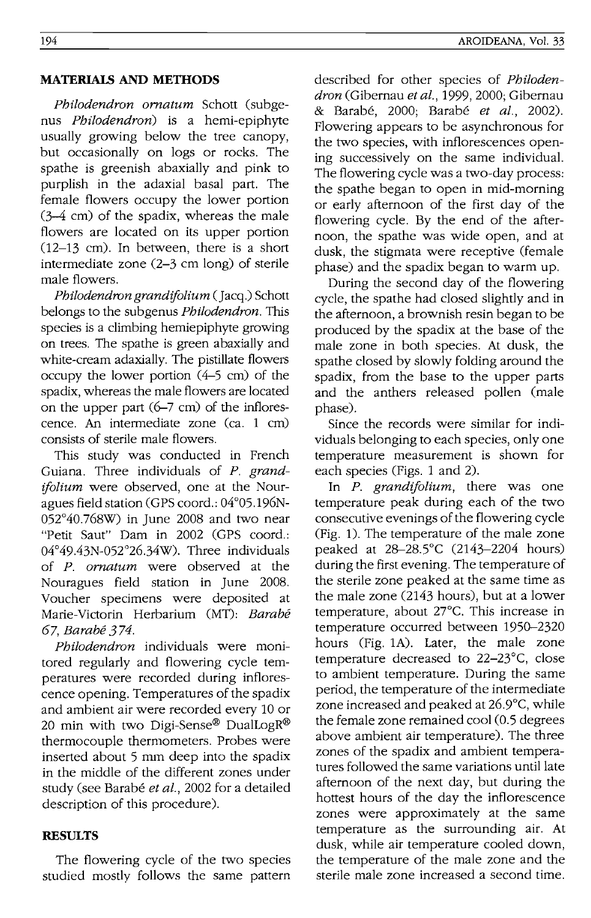#### **MATERIAIS AND METHODS**

*Philodendron ornatum* Schott (subgenus *Philodendron)* is a hemi-epiphyte usually growing below the tree canopy, but occasionally on logs or rocks. The spathe is greenish abaxially and pink to purplish in the adaxial basal part. The female flowers occupy the lower portion (3-4 cm) of the spadix, whereas the male flowers are located on its upper portion  $(12-13$  cm). In between, there is a short intermediate zone (2-3 cm long) of sterile male flowers.

*Philodendron grandijolium* (Jacq.) Schott belongs to the subgenus *Philodendron.* This species is a climbing hemiepiphyte growing on trees. The spathe is green abaxially and white-cream adaxially. The pistillate flowers occupy the lower portion (4-5 cm) of the spadix, whereas the male flowers are located on the upper part (6-7 em) of the inflorescence. An intermediate zone (ca. 1 cm) consists of sterile male flowers.

This study was conducted in French Guiana. Three individuals of *P. grandijolium* were observed, one at the Nouragues field station (GPS coord.: 04°05.196N-052°40.768W) in June 2008 and two near "Petit Saut" Dam in 2002 (GPS coord.: 04°49.43N-052°26.34W). Three individuals of *P. ornatum* were observed at the Nouragues field station in June 2008. Voucher specimens were deposited at Marie-Victorin Herbarium (MT): *Barabe 67, Barabe* 3 74.

*Philodendron* individuals were monitored regularly and flowering cycle temperatures were recorded during inflorescence opening. Temperatures of the spadix and ambient air were recorded every 10 or 20 min with two Digi-Sense® DualLogR® thermocouple thermometers. Probes were inserted about 5 mm deep into the spadix in the middle of the different zones under study (see Barabe *et al.,* 2002 for a detailed description of this procedure).

#### **RESULTS**

The flowering cycle of the two species studied mostly follows the same pattern described for other species of *Philodendron* (Gibernau *et al.,* 1999, 2000; Gibernau & Barabe, 2000; Barabe *et al., 2002).*  Flowering appears to be asynchronous for the two species, with inflorescences opening successively on the same individual. The flowering cycle was a two-day process: the spathe began to open in mid-morning or early afternoon of the first day of the flowering cycle. By the end of the afternoon, the spathe was wide open, and at dusk, the stigmata were receptive (female phase) and the spadix began to warm up.

During the second day of the flowering cycle, the spathe had closed slightly and in the afternoon, a brownish resin began to be produced by the spadix at the base of the male zone in both species. At dusk, the spathe closed by slowly folding around the spadix, from the base to the upper parts and the anthers released pollen (male phase).

Since the records were similar for individuals belonging to each species, only one temperature measurement is shown for each species (Figs. 1 and 2).

In *P. grandijolium,* there was one temperature peak during each of the two consecutive evenings of the flowering cycle (Fig. 1). The temperature of the male zone peaked at *28-28SC* (2143-2204 hours) during the first evening. The temperature of the sterile zone peaked at the same time as the male zone (2143 hours), but at a lower temperature, about 27°C. This increase in temperature occurred between 1950-2320 hours (Fig. 1A). Later, the male zone temperature decreased to 22-23°C, close to ambient temperature. During the same period, the temperature of the intermediate zone increased and peaked at 26.9°C, while the female zone remained cool (0.5 degrees above ambient air temperature). The three zones of the spadix and ambient temperatures followed the same variations until late afternoon of the next day, but during the hottest hours of the day the inflorescence zones were approximately at the same temperature as the surrounding air. At dusk, while air temperature cooled down, the temperature of the male zone and the sterile male zone increased a second time.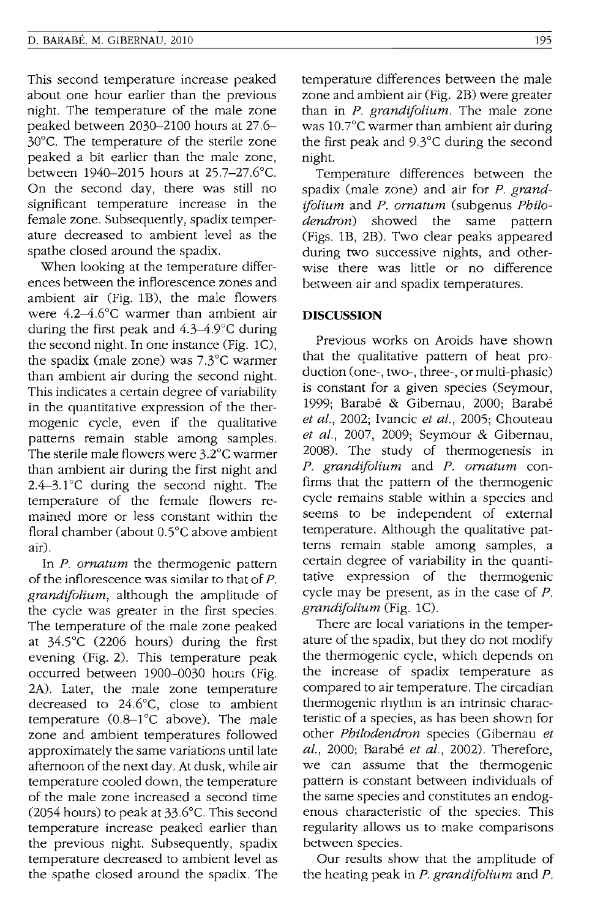This second temperature increase peaked about one hour earlier than the previous night. The temperature of the male zone peaked between 2030-2100 hours at 27.6- 30°C. The temperature of the sterile zone peaked a bit earlier than the male zone, between 1940-2015 hours at 25.7-27.6°C. On the second day, there was still no significant temperature increase in the female zone. Subsequently, spadix temperature decreased to ambient level as the spathe closed around the spadix.

When looking at the temperature differences between the inflorescence zones and ambient air (Fig. 1B), the male flowers were 4.2-4.6°c warmer than ambient air during the first peak and 4.3-4.9°C during the second night. In one instance (Fig. lC), the spadix (male zone) was 7.3°C warmer than ambient air during the second night. This indicates a certain degree of variability in the quantitative expression of the thermogenic cycle, even if the qualitative patterns remain stable among samples. The sterile male flowers were 3.2°C warmer than ambient air during the first night and 2.4-3.1°C during the second night. The temperature of the female flowers remained more or less constant within the floral chamber (about O.5°C above ambient air).

In *P. ornatum* the thermogenic pattern of the inflorescence was similar to that of *P. grandifolium,* although the amplitude of the cycle was greater in the first species. The temperature of the male zone peaked at *34SC* (2206 hours) during the first evening (Fig. 2). This temperature peak occurred between 1900-0030 hours (Fig. 2A). Later, the male zone temperature decreased to 24.6°C, close to ambient temperature (0.8-1°C above). The male zone and ambient temperatures followed approximately the same variations until late afternoon of the next day. At dusk, while air temperature cooled down, the temperature of the male zone increased a second time (2054 hours) to peak at 33.6°C. This second temperature increase peaked earlier than the previous night. Subsequently, spadix temperature decreased to ambient level as the spathe closed around the spadix. The temperature differences between the male zone and ambient air (Fig. 2B) were greater than in *P. grandifolium.* The male zone was  $10.7^{\circ}$ C warmer than ambient air during the first peak and 9.3°C during the second night.

Temperature differences between the spadix (male zone) and air for *P. grandifolium* and *P. ornatum* (subgenus *Philodendron)* showed the same pattern (Figs. 1B, 2B). Two clear peaks appeared during two successive nights, and otherwise there was little or no difference between air and spadix temperatures.

#### **DISCUSSION**

Previous works on Aroids have shown that the qualitative pattern of heat production (one-, two-, three-, or multi-phasic) is constant for a given species (Seymour, 1999; Barabe & Gibernau, 2000; Barabe *et al.,* 2002; Ivancic *et al.,* 2005; Chouteau *et al.,* 2007, 2009; Seymour & Gibernau, 2008). The study of thermogenesis in *P. grandifolium* and *P. ornatum* confirms that the pattern of the thermogenic cycle remains stable within a species and seems to be independent of external temperature. Although the qualitative patterns remain stable among samples, a certain degree of variability in the quantitative expression of the thermogenic cycle may be present, as in the case of *P. grandifolium* (Fig. lC).

There are local variations in the temperature of the spadix, but they do not modify the thermogenic cycle, which depends on the increase of spadix temperature as compared to air temperature. The circadian thermogenic rhythm is an intrinsic characteristic of a species, as has been shown for other *Philodendron* species (Gibernau *et al.,* 2000; Barabe *et al.,* 2002). Therefore, we can assume that the thermogenic pattern is constant between individuals of the same species and constitutes an endogenous characteristic of the species. This regularity allows us to make comparisons between species.

Our results show that the amplitude of the heating peak in *P. grandifolium* and *P.*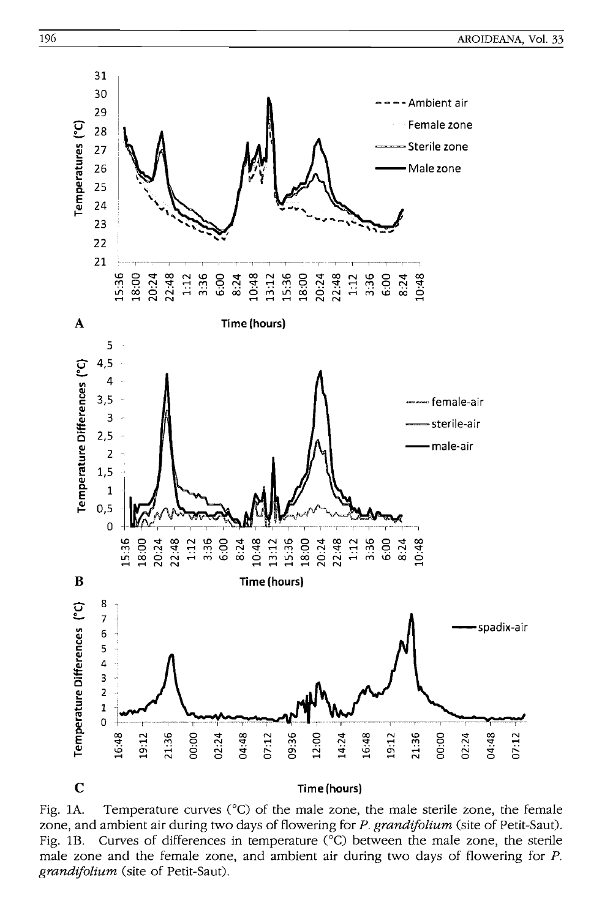

Fig. 1A. Temperature curves (°C) of the male zone, the male sterile zone, the female zone, and ambient air during two days of flowering for P. grandifolium (site of Petit-Saut). Curves of differences in temperature (°C) between the male zone, the sterile Fig.  $1B$ . male zone and the female zone, and ambient air during two days of flowering for  $P$ . grandifolium (site of Petit-Saut).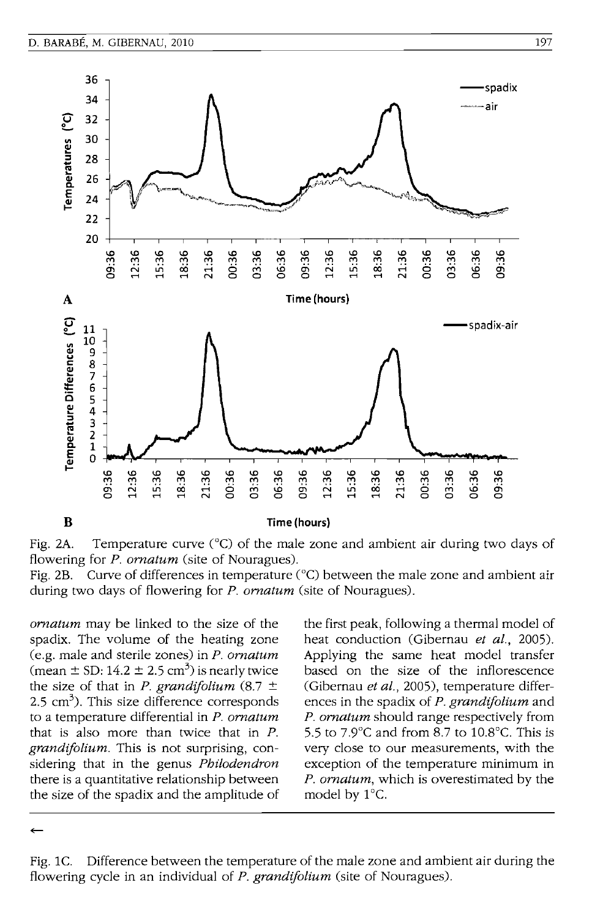



Curve of differences in temperature (°C) between the male zone and ambient air Fig. 2B. during two days of flowering for  $P$ . *ornatum* (site of Nouragues).

*ornatum* may be linked to the size of the spadix. The volume of the heating zone (e.g. male and sterile zones) in  $P$ . ornatum (mean  $\pm$  SD: 14.2  $\pm$  2.5 cm<sup>3</sup>) is nearly twice the size of that in *P. grandifolium* (8.7  $\pm$  $2.5 \text{ cm}^3$ ). This size difference corresponds to a temperature differential in P. ornatum that is also more than twice that in  $P$ . grandifolium. This is not surprising, considering that in the genus Philodendron there is a quantitative relationship between the size of the spadix and the amplitude of the first peak, following a thermal model of heat conduction (Gibernau et al., 2005). Applying the same heat model transfer based on the size of the inflorescence (Gibernau et al., 2005), temperature differences in the spadix of P. grandifolium and P. ornatum should range respectively from 5.5 to 7.9 $\degree$ C and from 8.7 to 10.8 $\degree$ C. This is very close to our measurements, with the exception of the temperature minimum in P. ornatum, which is overestimated by the model by 1°C.

Difference between the temperature of the male zone and ambient air during the Fig.  $1C$ . flowering cycle in an individual of *P. grandifolium* (site of Nouragues).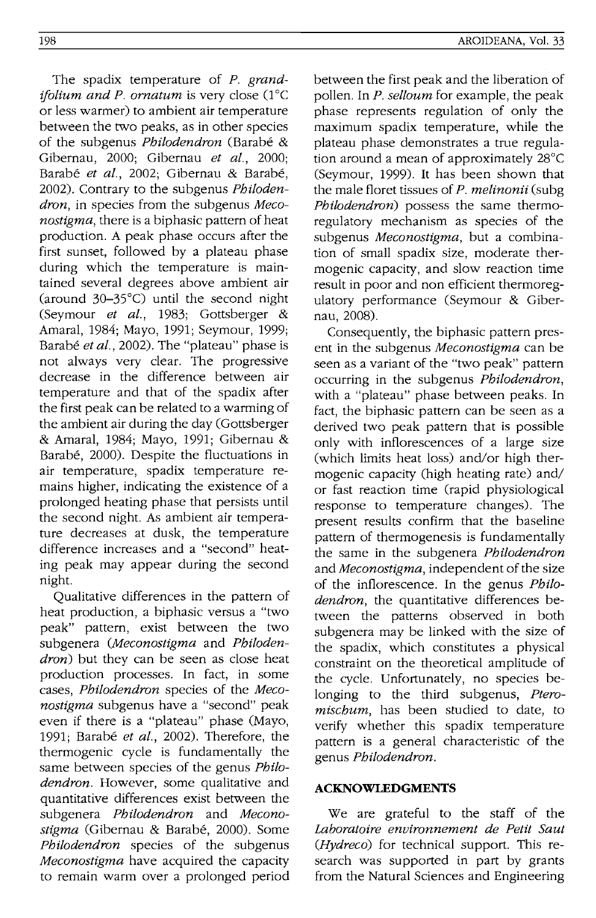The spadix temperature of *P. grandifolium and P. ornatum is very close* (1°C) or less warmer) to ambient air temperature between the two peaks, as in other species of the subgenus *Philodendron* (Barabe & Gibernau, 2000; Gibernau *et al., 2000;*  Barabe *et al.,* 2002; Gibernau & Barabe, 2002). Contrary to the subgenus *Philodendron,* in species from the subgenus *Meconostigma,* there is a biphasic pattern of heat production. A peak phase occurs after the first sunset, followed by a plateau phase during which the temperature is maintained several degrees above ambient air (around 30-35°C) until the second night (Seymour *et al.,* 1983; Gottsberger & Amaral, 1984; Mayo, 1991; Seymour, 1999; Barabé *et al.*, 2002). The "plateau" phase is not always very clear. The progressive decrease in the difference between air temperature and that of the spadix after the first peak can be related to a warming of the ambient air during the day (Gottsberger & Amaral, 1984; Mayo, 1991; Gibernau & Barabe, 2000). Despite the fluctuations in air temperature, spadix temperature remains higher, indicating the existence of a prolonged heating phase that persists until the second night. As ambient air temperature decreases at dusk, the temperature difference increases and a "second" heating peak may appear during the second night.

Qualitative differences in the pattern of heat production, a biphasic versus a "two peak" pattern, exist between the two subgenera *(Meconostigma* and *Philodendron*) but they can be seen as close heat production processes. In fact, in some cases, *Philodendron* species of the *Meconostigma* subgenus have a "second" peak even if there is a "plateau" phase (Mayo, 1991; Barabe *et al.,* 2002). Therefore, the thermogenic cycle is fundamentally the same between species of the genus *Philodendron.* However, some qualitative and quantitative differences exist between the subgenera *Philodendron* and *Meconostigma* (Gibernau & Barabe, 2000). Some *Philodendron* species of the subgenus *Meconostigma* have acquired the capacity to remain warm over a prolonged period

between the first peak and the liberation of pollen. In *P. selloum* for example, the peak phase represents regulation of only the maximum spadix temperature, while the plateau phase demonstrates a true regulation around a mean of approximately 28°C (Seymour, 1999). It has been shown that the male floret tissues of *P. melinonii* (subg *Philodendron)* possess the same thermoregulatory mechanism as species of the subgenus *Meconostigma,* but a combination of small spadix size, moderate thermogenic capacity, and slow reaction time result in poor and non efficient thermoregulatory performance (Seymour & Gibernau, 2008).

Consequently, the biphasic pattern present in the subgenus *Meconostigma* can be seen as a variant of the "two peak" pattern occurring in the subgenus *Philodendron,*  with a "plateau" phase between peaks. In fact, the biphasic pattern can be seen as a derived two peak pattern that is possible only with inflorescences of a large size (which limits heat loss) and/or high thermogenic capacity (high heating rate) and/ or fast reaction time (rapid physiological response to temperature changes). The present results confirm that the baseline pattern of thermogenesis is fundamentally the same in the subgenera *Philodendron*  and *Meconostigma,* independent of the size of the inflorescence. In the genus *Philodendron,* the quantitative differences between the patterns observed in both subgenera may be linked with the size of the spadix, which constitutes a physical constraint on the theoretical amplitude of the cycle. Unfortunately, no species belonging to the third subgenus, Ptero*mischum,* has been studied to date, to verify whether this spadix temperature pattern is a general characteristic of the genus *Philodendron.* 

## **ACKNOWLEDGMENTS**

We are grateful to the staff of the *Laboratoire environnement de Petit Saut (Hydreco)* for technical support. This research was supported in part by grants from the Natural Sciences and Engineering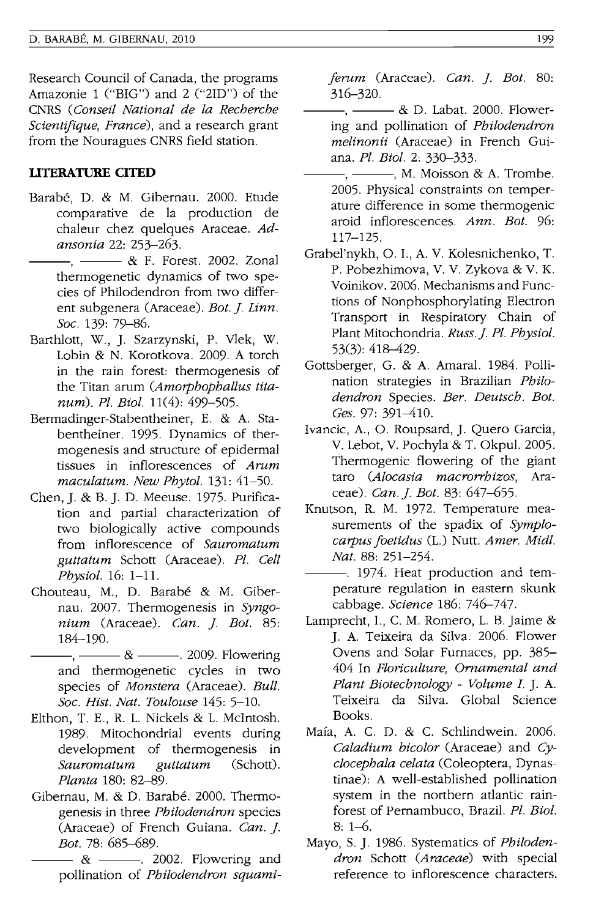Research Council of Canada, the programs Amazonie 1 ("BIG") and 2 ("2ID") of the CNRS *(Conseil National de la Recherche Scientij'ique, France),* and a research grant from the Nouragues CNRS field station.

## **UI'ERATURE CITED**

- Barabe, D. & M. Gibernau. 2000. Etude comparative de la production de chaleur chez quelques Araceae. *Adansonia* 22: 253-263.
	- ---, --- & F. Forest. 2002. Zonal thermogenetic dynamics of two species of Philodendron from two different subgenera (Araceae). *Bot.]. Linn. Soc.* 139: 79-86.
- Barthlott, W., ]. Szarzynski, P. Vlek, W. Lobin & N. Korotkova. 2009. A torch in the rain forest: thermogenesis of the Titan arum *(Amorphophallus titanum). Pl. Bioi.* 11(4): 499-505.
- Bermadinger-Stabentheiner, E. & A. Stabentheiner. 1995. Dynamics of thermogenesis and structure of epidermal tissues in inflorescences of *Arum maculatum. New Phytol.* 131: 41-50.
- Chen, ]. & B. ]. D. Meeuse. 1975. Purification and partial characterization of two biologically active compounds from inflorescence of *Sauromatum guttatum* Schott (Araceae). *Pl. Cell Physiol.* 16: 1-11.
- Chouteau, M., D. Barabé & M. Gibernau. 2007. Thermogenesis in *Syngonium* (Araceae). *Can.* ]. *Bot. 85:*  184-190.
- $-, \&$   $-$  2009. Flowering and thermogenetic cycles in two species of *Monstera* (Araceae). *Bull. Soc. Hist. Nat. Toulouse* 145: 5-10.
- Elthon, T. E., R. 1. Nickels & 1. McIntosh. 1989. Mitochondrial events during development of thermogenesis in *Sauromatum guttatum* (Schott). *Planta* 180: 82-89.
- Gibernau, M. & D. Barabé. 2000. Thermogenesis in three *Philodendron* species (Araceae) of French Guiana. *Can.]. Bot.* 78: 685-689.
	- $-8$   $-12002$ . Flowering and pollination of *Philodendron squami-*

*ferum* (Araceae). *Can.* ]. *Bot. 80:*  316-320.

- $-$ ,  $\&$  D. Labat. 2000. Flowering and pollination of *Philodendron melinonii* (Araceae) in French Guiana. *Pl. Bioi.* 2: 330-333.
- $-$ ,  $-$ , M. Moisson & A. Trombe. 2005. Physical constraints on temperature difference in some thermogenic aroid inflorescences. *Ann. Bot. 96:*  117-125.
- Grabel'nykh, O. I., A. V. Kolesnichenko, T. P. Pobezhimova, V. V. Zykova & V. K. Voinikov. 2006. Mechanisms and Functions of Nonphosphorylating Electron Transport in Respiratory Chain of Plant Mitochondria. *Russ.]. Pl. Physiol.*  53(3): 418-429.
- Gottsberger, G. & A. Amaral. 1984. Pollination strategies in Brazilian *Philodendron* Species. *Ber. Deutsch. Bot. Ges.* 97: 391-410.
- Ivancic, A., O. Roupsard,]. Quero Garcia, V. Lebot, V. Pochyla & T. Okpul. 2005. Thermogenic flowering of the giant taro *(Alocasia macrorrhizos,* Araceae). *Can.]. Bot.* 83: 647-655.
- Knutson, R. M. 1972. Temperature measurements of the spadix of *Symplocarpus foetidus* (1.) Nutt. *Amer. Midi. Nat.* 88: 251-254.
- ---. 1974. Heat production and temperature regulation in eastern skunk cabbage. *Science* 186: 746-747.
- Lamprecht, I., C. M. Romero, L. B. Jaime & ]. A. Teixeira da Silva. 2006. Flower Ovens and Solar Furnaces, pp. 385- 404 **In** *Floriculture, Ornamental and Plant Biotechnology* - *Volume I.* ]. A. Teixeira da Silva. Global Science Books.
- Maia, A. C. D. & C. Schlindwein. 2006. *Caladium hicolor* (Araceae) and *Cyclocephala celata* (Coleoptera, Dynastinae): A well-established pollination system in the northern atlantic rainforest of Pernambuco, Brazil. *Pl. Bioi.*  8: 1-6.
- Mayo, S.]. 1986. Systematics of *Philodendron* Schott *(Araceae)* with special reference to inflorescence characters.